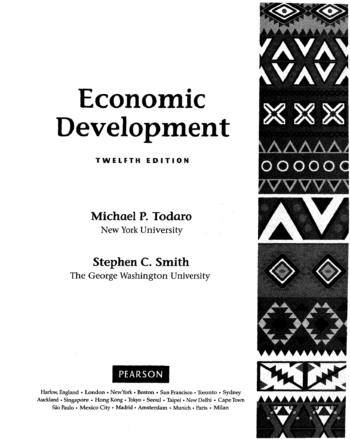## Economic Development

TWELFTH EDITION

Michael P. Todaro

New York University

Stephen C. Smith The George Washington University





Harlow, England • London • New York • Boston • San Francisco • Toronto • Sydney Auckland • Singapore • Hong Kong • Tokyo • Seoul • Taipei • New Delhi • Cape Town Säo Paulo • Mexico City • Madrid • Amsterdam • Munich • Paris • Milan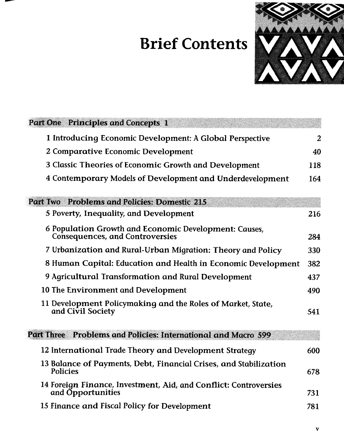## Brief Contents



| Part One Principles and Concepts 1                                                              |     |
|-------------------------------------------------------------------------------------------------|-----|
| 1 Introducing Economic Development: A Global Perspective                                        | 2   |
| 2 Comparative Economic Development                                                              | 40  |
| 3 Classic Theories of Economic Growth and Development                                           | 118 |
| 4 Contemporary Models of Development and Underdevelopment                                       | 164 |
| <b>Problems and Policies: Domestic 215</b><br>Part Two                                          |     |
| 5 Poverty, Inequality, and Development                                                          | 216 |
| 6 Population Growth and Economic Development: Causes,<br><b>Consequences, and Controversies</b> | 284 |
| 7 Urbanization and Rural-Urban Migration: Theory and Policy                                     | 330 |
| 8 Human Capital: Education and Health in Economic Development                                   | 382 |
| 9 Agricultural Transformation and Rural Development                                             | 437 |
| 10 The Environment and Development                                                              | 490 |
| 11 Development Policymaking and the Roles of Market, State,<br>and Civil Society                | 541 |
| Problems and Policies: International and Macro 599<br><b>Part Three</b>                         |     |
| 12 International Trade Theory and Development Strategy                                          | 600 |
| 13 Balance of Payments, Debt, Financial Crises, and Stabilization<br><b>Policies</b>            | 678 |
| 14 Foreign Finance, Investment, Aid, and Conflict: Controversies<br>and Opportunities           | 731 |
| 15 Finance and Fiscal Policy for Development                                                    | 781 |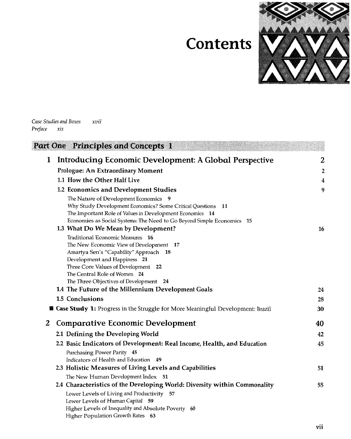## **Contents**



*Case Studies and Boxes*   $xvii$ *Preface xix* 

|   | Part One Principles and Concepts 1                                                        |                         |
|---|-------------------------------------------------------------------------------------------|-------------------------|
| 1 | Introducing Economic Development: A Global Perspective                                    | 2                       |
|   | Prologue: An Extraordinary Moment                                                         | $\overline{\mathbf{2}}$ |
|   | 1.1 How the Other Half Live                                                               | 4                       |
|   | 1.2 Economics and Development Studies                                                     | 9                       |
|   | The Nature of Development Economics 9                                                     |                         |
|   | Why Study Development Economics? Some Critical Questions 11                               |                         |
|   | The Important Role of Values in Development Economics 14                                  |                         |
|   | Economies as Social Systems: The Need to Go Beyond Simple Economics 15                    |                         |
|   | 1.3 What Do We Mean by Development?                                                       | 16                      |
|   | Traditional Economic Measures 16                                                          |                         |
|   | The New Economic View of Development 17                                                   |                         |
|   | Amartya Sen's "Capability" Approach 18                                                    |                         |
|   | Development and Happiness 21                                                              |                         |
|   | Three Core Values of Development 22<br>The Central Role of Women 24                       |                         |
|   | The Three Objectives of Development 24                                                    |                         |
|   | 1.4 The Future of the Millennium Development Goals                                        | 24                      |
|   | 1.5 Conclusions                                                                           | 28                      |
|   | <b>SEE Case Study 1:</b> Progress in the Struggle for More Meaningful Development: Brazil | 30                      |
| 2 | <b>Comparative Economic Development</b>                                                   | 40                      |
|   | 2.1 Defining the Developing World                                                         | 42                      |
|   | 2.2 Basic Indicators of Development: Real Income, Health, and Education                   | 45                      |
|   | Purchasing Power Parity 45                                                                |                         |
|   | Indicators of Health and Education 49                                                     |                         |
|   | 2.3 Holistic Measures of Living Levels and Capabilities                                   | 51                      |
|   | The New Human Development Index 51                                                        |                         |
|   | 2.4 Characteristics of the Developing World: Diversity within Commonality                 | 55                      |
|   | Lower Levels of Living and Productivity 57                                                |                         |
|   | Lower Levels of Human Capital 59                                                          |                         |
|   | Higher Levels of Inequality and Absolute Poverty 60                                       |                         |
|   | Higher Population Growth Rates 63                                                         |                         |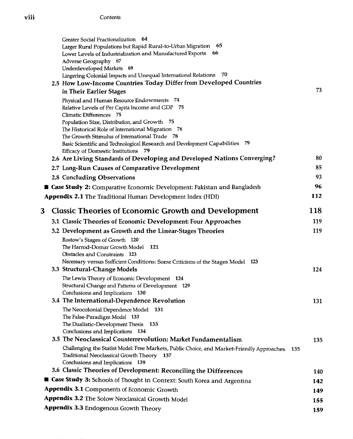|   | Greater Social Fractionalization 64<br>65<br>Larger Rural Populations but Rapid Rural-to-Urban Migration<br>Lower Levels of Industrialization and Manufactured Exports 66<br>Adverse Geography 67<br>Underdeveloped Markets 69<br>Lingering Colonial Impacts and Unequal International Relations 70<br>2.5 How Low-Income Countries Today Differ from Developed Countries                                                       | 73         |
|---|---------------------------------------------------------------------------------------------------------------------------------------------------------------------------------------------------------------------------------------------------------------------------------------------------------------------------------------------------------------------------------------------------------------------------------|------------|
|   | in Their Earlier Stages<br>Physical and Human Resource Endowments 74<br>Relative Levels of Per Capita Income and GDP 75<br>Climatic Differences 75<br>Population Size, Distribution, and Growth 75<br>The Historical Role of International Migration 76<br>The Growth Stimulus of International Trade 78<br>Basic Scientific and Technological Research and Development Capabilities 79<br>Efficacy of Domestic Institutions 79 |            |
|   | 2.6 Are Living Standards of Developing and Developed Nations Converging?                                                                                                                                                                                                                                                                                                                                                        | 80         |
|   | 2.7 Long-Run Causes of Comparative Development                                                                                                                                                                                                                                                                                                                                                                                  | 85         |
|   | 2.8 Concluding Observations                                                                                                                                                                                                                                                                                                                                                                                                     | 93         |
|   | <b>■ Case Study 2: Comparative Economic Development: Pakistan and Bangladesh</b>                                                                                                                                                                                                                                                                                                                                                | 96         |
|   | <b>Appendix 2.1</b> The Traditional Human Development Index (HDI)                                                                                                                                                                                                                                                                                                                                                               | 112        |
| 3 | <b>Classic Theories of Economic Growth and Development</b>                                                                                                                                                                                                                                                                                                                                                                      | 118        |
|   | 3.1 Classic Theories of Economic Development: Four Approaches                                                                                                                                                                                                                                                                                                                                                                   | 119        |
|   | 3.2 Development as Growth and the Linear-Stages Theories                                                                                                                                                                                                                                                                                                                                                                        | 119        |
|   | Rostow's Stages of Growth 120<br>The Harrod-Domar Growth Model<br>121<br>Obstacles and Constraints 123<br>Necessary versus Sufficient Conditions: Some Criticisms of the Stages Model 123<br>3.3 Structural-Change Models                                                                                                                                                                                                       | 124        |
|   | The Lewis Theory of Economic Development 124<br>Structural Change and Patterns of Development 129<br>Conclusions and Implications 130                                                                                                                                                                                                                                                                                           |            |
|   | 3.4 The International-Dependence Revolution<br>The Neocolonial Dependence Model 131<br>The False-Paradigm Model 133<br>The Dualistic-Development Thesis 133<br>Conclusions and Implications 134                                                                                                                                                                                                                                 | 131        |
|   | 3.5 The Neoclassical Counterrevolution: Market Fundamentalism<br>Challenging the Statist Model: Free Markets, Public Choice, and Market-Friendly Approaches<br>Traditional Neoclassical Growth Theory 137<br>Conclusions and Implications 139                                                                                                                                                                                   | 135<br>135 |
|   | 3.6 Classic Theories of Development: Reconciling the Differences                                                                                                                                                                                                                                                                                                                                                                | <b>140</b> |
|   | <b>E Case Study 3:</b> Schools of Thought in Context: South Korea and Argentina                                                                                                                                                                                                                                                                                                                                                 | 142        |
|   | Appendix 3.1 Components of Economic Growth                                                                                                                                                                                                                                                                                                                                                                                      | 149        |
|   | Appendix 3.2 The Solow Neoclassical Growth Model                                                                                                                                                                                                                                                                                                                                                                                | 155        |
|   | Appendix 3.3 Endogenous Growth Theory                                                                                                                                                                                                                                                                                                                                                                                           | 159        |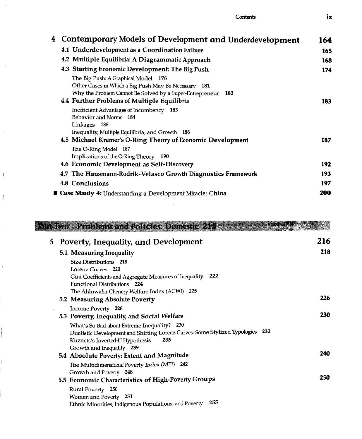| 4 Contemporary Models of Development and Underdevelopment                                                                                                                                                     | 164 |
|---------------------------------------------------------------------------------------------------------------------------------------------------------------------------------------------------------------|-----|
| 4.1 Underdevelopment as a Coordination Failure                                                                                                                                                                | 165 |
| 4.2 Multiple Equilibria: A Diagrammatic Approach                                                                                                                                                              | 168 |
| 4.3 Starting Economic Development: The Big Push                                                                                                                                                               | 174 |
| The Big Push: A Graphical Model 176<br>Other Cases in Which a Big Push May Be Necessary<br>181<br>Why the Problem Cannot Be Solved by a Super-Entrepreneur 182<br>4.4 Further Problems of Multiple Equilibria | 183 |
| Inefficient Advantages of Incumbency 183<br>Behavior and Norms 184<br>Linkages 185<br>Inequality, Multiple Equilibria, and Growth 186                                                                         |     |
| 4.5 Michael Kremer's O-Ring Theory of Economic Development<br>The O-Ring Model 187<br>Implications of the O-Ring Theory 190                                                                                   | 187 |
| 4.6 Economic Development as Self-Discovery                                                                                                                                                                    | 192 |
| 4.7 The Hausmann-Rodrik-Velasco Growth Diagnostics Framework                                                                                                                                                  | 193 |
| 4.8 Conclusions                                                                                                                                                                                               | 197 |
| <b>E Case Study 4:</b> Understanding a Development Miracle: China                                                                                                                                             | 200 |

 $\frac{1}{2}$ 

 $\bar{z}$ 

 $\hat{\mathbf{r}}$ 

 $\mathsf I$ 

 $\frac{1}{2}$ 

 $\bar{1}$ 

 $\bar{t}$ 

Ť

|                | art Iwo Problems and Policies: Domestic 215                                                                                                                                                          |            |
|----------------|------------------------------------------------------------------------------------------------------------------------------------------------------------------------------------------------------|------------|
| 5 <sup>5</sup> | <b>Poverty, Inequality, and Development</b>                                                                                                                                                          | 216        |
|                | 5.1 Measuring Inequality                                                                                                                                                                             | 218        |
|                | Size Distributions 218                                                                                                                                                                               |            |
|                | Lorenz Curves 220<br>Gini Coefficients and Aggregate Measures of Inequality 222<br>Functional Distributions 224                                                                                      |            |
|                | The Ahluwalia-Chenery Welfare Index (ACWI) 225<br>5.2 Measuring Absolute Poverty                                                                                                                     | 226        |
|                | Income Poverty 226<br>5.3 Poverty, Inequality, and Social Welfare                                                                                                                                    | <b>230</b> |
|                | What's So Bad about Extreme Inequality? 230<br>Dualistic Development and Shifting Lorenz Curves: Some Stylized Typologies 232<br>Kuznets's Inverted-U Hypothesis<br>235<br>Growth and Inequality 239 |            |
|                | 5.4 Absolute Poverty: Extent and Magnitude                                                                                                                                                           | 240        |
|                | The Multidimensional Poverty Index (MPI) 242                                                                                                                                                         |            |
|                | Growth and Poverty 248<br>5.5 Economic Characteristics of High-Poverty Groups                                                                                                                        | 250        |
|                | Rural Poverty 250<br>Women and Poverty 251<br>255<br>Ethnic Minorities, Indigenous Populations, and Poverty                                                                                          |            |

l,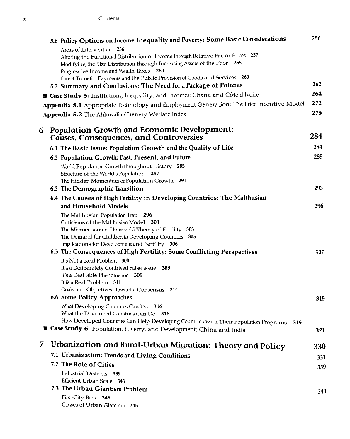|   | 5.6 Policy Options on Income Inequality and Poverty: Some Basic Considerations                                                                                 | 256 |
|---|----------------------------------------------------------------------------------------------------------------------------------------------------------------|-----|
|   | Areas of Intervention 256                                                                                                                                      |     |
|   | Altering the Functional Distribution of Income through Relative Factor Prices 257<br>Modifying the Size Distribution through Increasing Assets of the Poor 258 |     |
|   | Progressive Income and Wealth Taxes 260                                                                                                                        |     |
|   | Direct Transfer Payments and the Public Provision of Goods and Services 260                                                                                    | 262 |
|   | 5.7 Summary and Conclusions: The Need for a Package of Policies                                                                                                |     |
|   | <b>B</b> Case Study 5: Institutions, Inequality, and Incomes: Ghana and Côte d'Ivoire                                                                          | 264 |
|   | Appendix 5.1 Appropriate Technology and Employment Generation: The Price Incentive Model                                                                       | 272 |
|   | Appendix 5.2 The Ahluwalia-Chenery Welfare Index                                                                                                               | 275 |
| 6 | <b>Population Growth and Economic Development:</b>                                                                                                             |     |
|   | <b>Causes, Consequences, and Controversies</b>                                                                                                                 | 284 |
|   | 6.1 The Basic Issue: Population Growth and the Quality of Life                                                                                                 | 284 |
|   | 6.2 Population Growth: Past, Present, and Future                                                                                                               | 285 |
|   | World Population Growth throughout History 285                                                                                                                 |     |
|   | Structure of the World's Population 287                                                                                                                        |     |
|   | The Hidden Momentum of Population Growth 291                                                                                                                   | 293 |
|   | 6.3 The Demographic Transition<br>6.4 The Causes of High Fertility in Developing Countries: The Malthusian                                                     |     |
|   | and Household Models                                                                                                                                           | 296 |
|   | The Malthusian Population Trap 296                                                                                                                             |     |
|   | Criticisms of the Malthusian Model 301                                                                                                                         |     |
|   | The Microeconomic Household Theory of Fertility 303                                                                                                            |     |
|   | The Demand for Children in Developing Countries 305<br>Implications for Development and Fertility 306                                                          |     |
|   | 6.5 The Consequences of High Fertility: Some Conflicting Perspectives                                                                                          | 307 |
|   | It's Not a Real Problem 308                                                                                                                                    |     |
|   | It's a Deliberately Contrived False Issue 309                                                                                                                  |     |
|   | It's a Desirable Phenomenon 309                                                                                                                                |     |
|   | It Is a Real Problem 311<br>Goals and Objectives: Toward a Consensus 314                                                                                       |     |
|   | 6.6 Some Policy Approaches                                                                                                                                     | 315 |
|   | What Developing Countries Can Do 316                                                                                                                           |     |
|   | What the Developed Countries Can Do 318                                                                                                                        |     |
|   | How Developed Countries Can Help Developing Countries with Their Population Programs 319                                                                       |     |
|   | <b>E Case Study 6:</b> Population, Poverty, and Development: China and India                                                                                   | 321 |
| 7 | Urbanization and Rural-Urban Migration: Theory and Policy                                                                                                      | 330 |
|   | 7.1 Urbanization: Trends and Living Conditions                                                                                                                 | 331 |
|   | 7.2 The Role of Cities                                                                                                                                         | 339 |
|   | Industrial Districts 339                                                                                                                                       |     |
|   | Efficient Urban Scale 343<br>7.3 The Urban Giantism Problem                                                                                                    |     |
|   | First-City Bias 345                                                                                                                                            | 344 |
|   | Causes of Urban Giantism 346                                                                                                                                   |     |
|   |                                                                                                                                                                |     |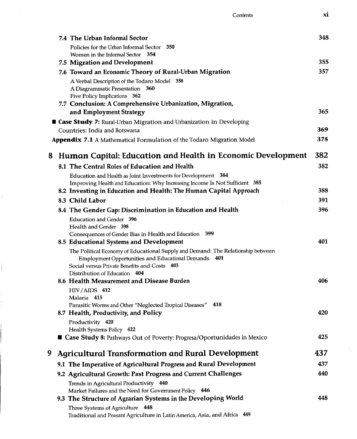|   | 7.4 The Urban Informal Sector                                                                                                                 | 348 |
|---|-----------------------------------------------------------------------------------------------------------------------------------------------|-----|
|   | Policies for the Urban Informal Sector 350                                                                                                    |     |
|   | Women in the Informal Sector 354                                                                                                              |     |
|   | 7.5 Migration and Development                                                                                                                 | 355 |
|   | 7.6 Toward an Economic Theory of Rural-Urban Migration                                                                                        | 357 |
|   | A Verbal Description of the Todaro Model 358                                                                                                  |     |
|   | A Diagrammatic Presentation 360<br>Five Policy Implications 362                                                                               |     |
|   | 7.7 Conclusion: A Comprehensive Urbanization, Migration,                                                                                      |     |
|   | and Employment Strategy                                                                                                                       | 365 |
|   | <b>Case Study 7:</b> Rural-Urban Migration and Urbanization in Developing                                                                     |     |
|   | Countries: India and Botswana                                                                                                                 | 369 |
|   | <b>Appendix 7.1</b> A Mathematical Formulation of the Todaro Migration Model                                                                  | 375 |
|   | 8 Human Capital: Education and Health in Economic Development                                                                                 | 382 |
|   | 8.1 The Central Roles of Education and Health                                                                                                 | 382 |
|   | Education and Health as Joint Investments for Development 384                                                                                 |     |
|   | Improving Health and Education: Why Increasing Income Is Not Sufficient 385                                                                   |     |
|   | 8.2 Investing in Education and Health: The Human Capital Approach                                                                             | 388 |
|   | 8.3 Child Labor                                                                                                                               | 391 |
|   | 8.4 The Gender Gap: Discrimination in Education and Health                                                                                    | 396 |
|   | Education and Gender 396<br>Health and Gender 398                                                                                             |     |
|   | Consequences of Gender Bias in Health and Education 399                                                                                       | 401 |
|   | 8.5 Educational Systems and Development                                                                                                       |     |
|   | The Political Economy of Educational Supply and Demand: The Relationship between<br>Employment Opportunities and Educational Demands<br>- 401 |     |
|   | Social versus Private Benefits and Costs 403                                                                                                  |     |
|   | Distribution of Education 404                                                                                                                 |     |
|   | 8.6 Health Measurement and Disease Burden                                                                                                     | 406 |
|   | $HIV/AIDS$ 412                                                                                                                                |     |
|   | Malaria 415<br>Parasitic Worms and Other "Neglected Tropical Diseases" 418                                                                    |     |
|   | 8.7 Health, Productivity, and Policy                                                                                                          | 420 |
|   | Productivity 420                                                                                                                              |     |
|   | Health Systems Policy 422                                                                                                                     |     |
|   | ■ Case Study 8: Pathways Out of Poverty: Progresa/Oportunidades in Mexico                                                                     | 425 |
| 9 | <b>Agricultural Transformation and Rural Development</b>                                                                                      | 437 |
|   | 9.1 The Imperative of Agricultural Progress and Rural Development                                                                             | 437 |
|   | 9.2 Agricultural Growth: Past Progress and Current Challenges                                                                                 | 440 |
|   | Trends in Agricultural Productivity 440                                                                                                       |     |
|   | Market Failures and the Need for Government Policy 446                                                                                        |     |
|   | 9.3 The Structure of Agrarian Systems in the Developing World                                                                                 | 448 |
|   | Three Systems of Agriculture 448<br>Traditional and Peasant Agriculture in Latin America, Asia, and Africa 449                                |     |

 $\hat{\mathcal{A}}$ 

 $\bar{\Gamma}$ 

İ

ļ

Contents xi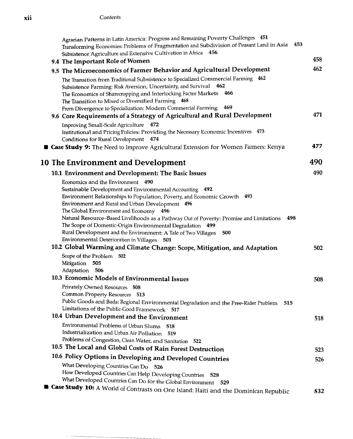$\hat{z}$  ,  $\hat{z}$ 

|  | Agrarian Patterns in Latin America: Progress and Remaining Poverty Challenges 451<br>453<br>Transforming Economies: Problems of Fragmentation and Subdivision of Peasant Land in Asia<br>Subsistence Agriculture and Extensive Cultivation in Africa 456                                                                                                  |      |
|--|-----------------------------------------------------------------------------------------------------------------------------------------------------------------------------------------------------------------------------------------------------------------------------------------------------------------------------------------------------------|------|
|  | 9.4 The Important Role of Women                                                                                                                                                                                                                                                                                                                           | 458  |
|  | 9.5 The Microeconomics of Farmer Behavior and Agricultural Development                                                                                                                                                                                                                                                                                    | 462  |
|  | The Transition from Traditional Subsistence to Specialized Commercial Farming 462<br>Subsistence Farming: Risk Aversion, Uncertainty, and Survival 462<br>466<br>The Economics of Sharecropping and Interlocking Factor Markets<br>The Transition to Mixed or Diversified Farming 468<br>From Divergence to Specialization: Modern Commercial Farming 469 |      |
|  | 9.6 Core Requirements of a Strategy of Agricultural and Rural Development                                                                                                                                                                                                                                                                                 | 471  |
|  | Improving Small-Scale Agriculture 472<br>Institutional and Pricing Policies: Providing the Necessary Economic Incentives 473<br>Conditions for Rural Development 474                                                                                                                                                                                      |      |
|  | <b>Lase Study 9:</b> The Need to Improve Agricultural Extension for Women Farmers: Kenya                                                                                                                                                                                                                                                                  | 477  |
|  | 10 The Environment and Development                                                                                                                                                                                                                                                                                                                        | 490  |
|  | 10.1 Environment and Development: The Basic Issues                                                                                                                                                                                                                                                                                                        | 490  |
|  | Economics and the Environment 490                                                                                                                                                                                                                                                                                                                         |      |
|  | Sustainable Development and Environmental Accounting 492                                                                                                                                                                                                                                                                                                  |      |
|  | Environment Relationships to Population, Poverty, and Economic Growth 493                                                                                                                                                                                                                                                                                 |      |
|  | <b>Environment and Rural and Urban Development</b> 496<br>The Global Environment and Economy<br>496                                                                                                                                                                                                                                                       |      |
|  | 498<br>Natural Resource-Based Livelihoods as a Pathway Out of Poverty: Promise and Limitations                                                                                                                                                                                                                                                            |      |
|  | The Scope of Domestic-Origin Environmental Degradation<br>499                                                                                                                                                                                                                                                                                             |      |
|  | Rural Development and the Environment: A Tale of Two Villages<br>500                                                                                                                                                                                                                                                                                      |      |
|  | Environmental Deterioration in Villages 501                                                                                                                                                                                                                                                                                                               |      |
|  | 10.2 Global Warming and Climate Change: Scope, Mitigation, and Adaptation                                                                                                                                                                                                                                                                                 | 502  |
|  | Scope of the Problem 502                                                                                                                                                                                                                                                                                                                                  |      |
|  | Mitigation<br>505                                                                                                                                                                                                                                                                                                                                         |      |
|  | Adaptation 506                                                                                                                                                                                                                                                                                                                                            |      |
|  | 10.3 Economic Models of Environmental Issues                                                                                                                                                                                                                                                                                                              | 508  |
|  | Privately Owned Resources 508                                                                                                                                                                                                                                                                                                                             |      |
|  | Common Property Resources 513                                                                                                                                                                                                                                                                                                                             |      |
|  | Public Goods and Bads: Regional Environmental Degradation and the Free-Rider Problem 515<br>Limitations of the Public-Good Framework                                                                                                                                                                                                                      |      |
|  | 517<br>10.4 Urban Development and the Environment                                                                                                                                                                                                                                                                                                         |      |
|  |                                                                                                                                                                                                                                                                                                                                                           | 518  |
|  | Environmental Problems of Urban Slums<br>518<br>Industrialization and Urban Air Pollution<br>519                                                                                                                                                                                                                                                          |      |
|  | Problems of Congestion, Clean Water, and Sanitation 522                                                                                                                                                                                                                                                                                                   |      |
|  | 10.5 The Local and Global Costs of Rain Forest Destruction                                                                                                                                                                                                                                                                                                | 523  |
|  | 10.6 Policy Options in Developing and Developed Countries                                                                                                                                                                                                                                                                                                 |      |
|  | What Developing Countries Can Do 526                                                                                                                                                                                                                                                                                                                      | 526. |
|  | How Developed Countries Can Help Developing Countries<br>528                                                                                                                                                                                                                                                                                              |      |
|  | What Developed Countries Can Do for the Global Environment 529                                                                                                                                                                                                                                                                                            |      |
|  | <b>Case Study 10:</b> A World of Contrasts on One Island: Haiti and the Dominican Republic                                                                                                                                                                                                                                                                | 532  |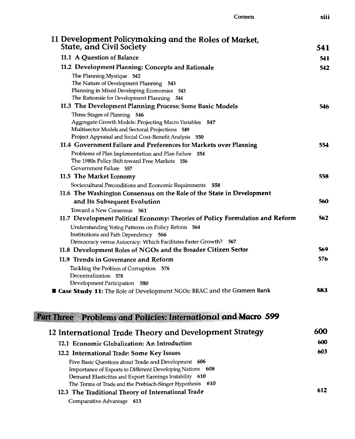| 11 Development Policymaking and the Roles of Market,<br><b>State, and Civil Society</b>                                                                                                                                                   | 541 |
|-------------------------------------------------------------------------------------------------------------------------------------------------------------------------------------------------------------------------------------------|-----|
| 11.1 A Question of Balance                                                                                                                                                                                                                | 541 |
| 11.2 Development Planning: Concepts and Rationale                                                                                                                                                                                         | 542 |
| The Planning Mystique 542<br>The Nature of Development Planning 543<br>Planning in Mixed Developing Economies 543<br>The Rationale for Development Planning 544                                                                           |     |
| 11.3 The Development Planning Process: Some Basic Models                                                                                                                                                                                  | 546 |
| Three Stages of Planning 546<br>Aggregate Growth Models: Projecting Macro Variables<br>547<br>Multisector Models and Sectoral Projections 549<br>Project Appraisal and Social Cost-Benefit Analysis 550                                   |     |
| 11.4 Government Failure and Preferences for Markets over Planning                                                                                                                                                                         | 554 |
| Problems of Plan Implementation and Plan Failure 554<br>The 1980s Policy Shift toward Free Markets 556<br>Government Failure 557                                                                                                          |     |
| 11.5 The Market Economy                                                                                                                                                                                                                   | 558 |
| Sociocultural Preconditions and Economic Requirements 558                                                                                                                                                                                 |     |
| 11.6 The Washington Consensus on the Role of the State in Development                                                                                                                                                                     |     |
| and Its Subsequent Evolution                                                                                                                                                                                                              | 560 |
| Toward a New Consensus 561<br>11.7 Development Political Economy: Theories of Policy Formulation and Reform                                                                                                                               | 562 |
| Understanding Voting Patterns on Policy Reform 564<br>Institutions and Path Dependency 566<br>Democracy versus Autocracy: Which Facilitates Faster Growth? 567                                                                            |     |
| 11.8 Development Roles of NGOs and the Broader Citizen Sector                                                                                                                                                                             | 569 |
| 11.9 Trends in Governance and Reform<br>Tackling the Problem of Corruption 576<br>Decentralization 578<br>Development Participation 580                                                                                                   | 576 |
| <b>E Case Study 11:</b> The Role of Development NGOs: BRAC and the Grameen Bank                                                                                                                                                           | 583 |
| Problems and Policies: International and Macro 599<br>Part Three                                                                                                                                                                          |     |
| 12 International Trade Theory and Development Strategy                                                                                                                                                                                    | 600 |
| 12.1 Economic Globalization: An Introduction                                                                                                                                                                                              | 600 |
| 12.2 International Trade: Some Key Issues                                                                                                                                                                                                 | 603 |
| Five Basic Questions about Trade and Development 606<br>Importance of Exports to Different Developing Nations 608<br>Demand Elasticities and Export Earnings Instability 610<br>The Terms of Trade and the Prebisch-Singer Hypothesis 610 |     |
| 12.3 The Traditional Theory of International Trade<br>Comparative Advantage 613                                                                                                                                                           | 612 |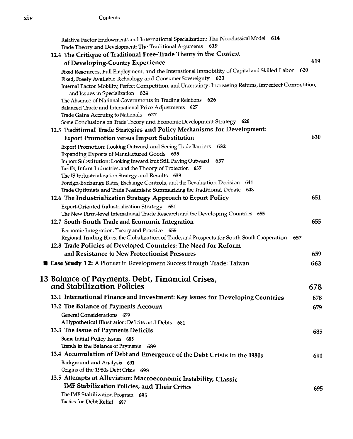Contents

| Relative Factor Endowments and International Specialization: The Neoclassical Model 614                                                                            |     |
|--------------------------------------------------------------------------------------------------------------------------------------------------------------------|-----|
| Trade Theory and Development: The Traditional Arguments 619<br>12.4 The Critique of Traditional Free-Trade Theory in the Context                                   |     |
|                                                                                                                                                                    | 619 |
| of Developing-Country Experience                                                                                                                                   | 620 |
| Fixed Resources, Full Employment, and the International Immobility of Capital and Skilled Labor<br>Fixed, Freely Available Technology and Consumer Sovereignty 623 |     |
| Internal Factor Mobility, Perfect Competition, and Uncertainty: Increasing Returns, Imperfect Competition,                                                         |     |
| and Issues in Specialization 624                                                                                                                                   |     |
| The Absence of National Governments in Trading Relations 626                                                                                                       |     |
| Balanced Trade and International Price Adjustments 627                                                                                                             |     |
| Trade Gains Accruing to Nationals<br>627                                                                                                                           |     |
| Some Conclusions on Trade Theory and Economic Development Strategy 628                                                                                             |     |
| 12.5 Traditional Trade Strategies and Policy Mechanisms for Development:                                                                                           |     |
| <b>Export Promotion versus Import Substitution</b>                                                                                                                 | 630 |
| 632<br>Export Promotion: Looking Outward and Seeing Trade Barriers                                                                                                 |     |
| Expanding Exports of Manufactured Goods 635                                                                                                                        |     |
| Import Substitution: Looking Inward but Still Paying Outward 637                                                                                                   |     |
| Tariffs, Infant Industries, and the Theory of Protection 637                                                                                                       |     |
| The IS Industrialization Strategy and Results 639                                                                                                                  |     |
| Foreign-Exchange Rates, Exchange Controls, and the Devaluation Decision 644                                                                                        |     |
| Trade Optimists and Trade Pessimists: Summarizing the Traditional Debate 648                                                                                       | 651 |
| 12.6 The Industrialization Strategy Approach to Export Policy                                                                                                      |     |
| Export-Oriented Industrialization Strategy 651                                                                                                                     |     |
| The New Firm-level International Trade Research and the Developing Countries 655                                                                                   |     |
| 12.7 South-South Trade and Economic Integration                                                                                                                    | 655 |
| Economic Integration: Theory and Practice 655                                                                                                                      |     |
| Regional Trading Blocs, the Globalization of Trade, and Prospects for South-South Cooperation 657                                                                  |     |
| 12.8 Trade Policies of Developed Countries: The Need for Reform                                                                                                    |     |
| and Resistance to New Protectionist Pressures                                                                                                                      | 659 |
| <b>E Case Study 12:</b> A Pioneer in Development Success through Trade: Taiwan                                                                                     | 663 |
| 13 Balance of Payments, Debt, Financial Crises,                                                                                                                    |     |
| and Stabilization Policies                                                                                                                                         | 678 |
| 13.1 International Finance and Investment: Key Issues for Developing Countries                                                                                     | 678 |
| 13.2 The Balance of Payments Account                                                                                                                               | 679 |
| General Considerations 679                                                                                                                                         |     |
| A Hypothetical Illustration: Deficits and Debts 681                                                                                                                |     |
| 13.3 The Issue of Payments Deficits                                                                                                                                | 685 |
| Some Initial Policy Issues 685                                                                                                                                     |     |
| Trends in the Balance of Payments<br>689                                                                                                                           |     |
| 13.4 Accumulation of Debt and Emergence of the Debt Crisis in the 1980s                                                                                            | 691 |
| Background and Analysis 691                                                                                                                                        |     |
| Origins of the 1980s Debt Crisis 693                                                                                                                               |     |
| 13.5 Attempts at Alleviation: Macroeconomic Instability, Classic                                                                                                   |     |
| IMF Stabilization Policies, and Their Critics                                                                                                                      |     |
| The IMF Stabilization Program 695                                                                                                                                  | 695 |
| Tactics for Debt Relief 697                                                                                                                                        |     |
|                                                                                                                                                                    |     |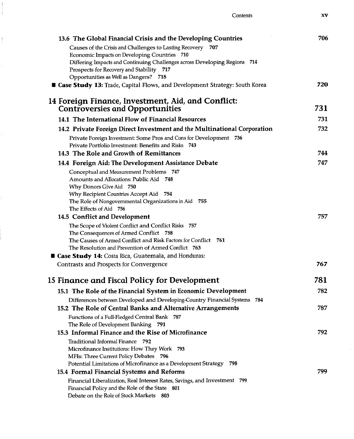| 13.6 The Global Financial Crisis and the Developing Countries                                                 | 706  |
|---------------------------------------------------------------------------------------------------------------|------|
| Causes of the Crisis and Challenges to Lasting Recovery 707                                                   |      |
| Economic Impacts on Developing Countries 710                                                                  |      |
| Differing Impacts and Continuing Challenges across Developing Regions 714                                     |      |
| Prospects for Recovery and Stability 717                                                                      |      |
| Opportunities as Well as Dangers? 718                                                                         | 720  |
| <b>Case Study 13:</b> Trade, Capital Flows, and Development Strategy: South Korea                             |      |
| 14 Foreign Finance, Investment, Aid, and Conflict:                                                            |      |
| <b>Controversies and Opportunities</b>                                                                        | 731  |
| 14.1 The International Flow of Financial Resources                                                            | 731  |
| 14.2 Private Foreign Direct Investment and the Multinational Corporation                                      | 732  |
| Private Foreign Investment: Some Pros and Cons for Development 736                                            |      |
| Private Portfolio Investment: Benefits and Risks<br>-743                                                      |      |
| 14.3 The Role and Growth of Remittances                                                                       | 744  |
| 14.4 Foreign Aid: The Development Assistance Debate                                                           | 747  |
| Conceptual and Measurement Problems 747                                                                       |      |
| Amounts and Allocations: Public Aid 748                                                                       |      |
| Why Donors Give Aid 750                                                                                       |      |
| Why Recipient Countries Accept Aid 754                                                                        |      |
| The Role of Nongovernmental Organizations in Aid 755                                                          |      |
| The Effects of Aid 756<br>14.5 Conflict and Development                                                       | 757  |
|                                                                                                               |      |
| The Scope of Violent Conflict and Conflict Risks 757<br>The Consequences of Armed Conflict 758                |      |
| The Causes of Armed Conflict and Risk Factors for Conflict 761                                                |      |
| The Resolution and Prevention of Armed Conflict 763                                                           |      |
| <b>E Case Study 14:</b> Costa Rica, Guatemala, and Honduras:                                                  |      |
| Contrasts and Prospects for Convergence                                                                       | 767  |
|                                                                                                               |      |
| 15 Finance and Fiscal Policy for Development                                                                  | 781  |
| 15.1 The Role of the Financial System in Economic Development                                                 | 782. |
| Differences between Developed and Developing-Country Financial Systems 784                                    |      |
| 15.2 The Role of Central Banks and Alternative Arrangements                                                   | 787  |
| Functions of a Full-Fledged Central Bank 787                                                                  |      |
| The Role of Development Banking 791                                                                           |      |
| 15.3 Informal Finance and the Rise of Microfinance                                                            | 792  |
| Traditional Informal Finance 792                                                                              |      |
| Microfinance Institutions: How They Work 793                                                                  |      |
| MFIs: Three Current Policy Debates 796<br>Potential Limitations of Microfinance as a Development Strategy 798 |      |
| 15.4 Formal Financial Systems and Reforms                                                                     | 799  |
| Financial Liberalization, Real Interest Rates, Savings, and Investment 799                                    |      |
| Financial Policy and the Role of the State 801                                                                |      |
| Debate on the Role of Stock Markets 803                                                                       |      |
|                                                                                                               |      |

J.  $\mathbf{1}$ 

 $\bar{1}$ 

Contents XV

 $\bar{\rm v}$